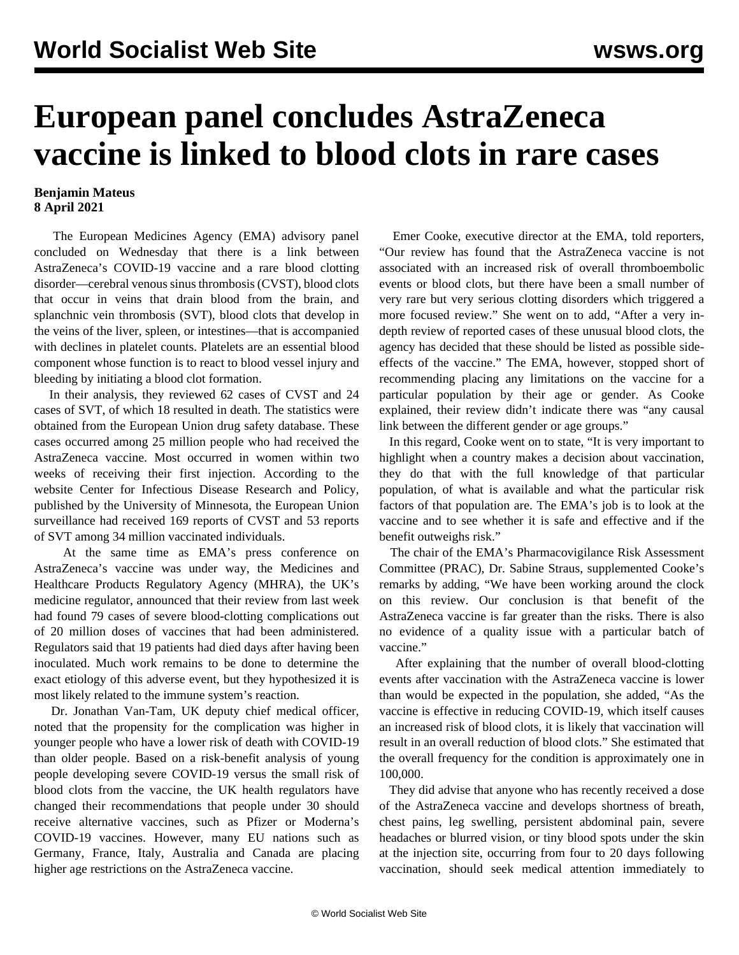## **European panel concludes AstraZeneca vaccine is linked to blood clots in rare cases**

## **Benjamin Mateus 8 April 2021**

 The European Medicines Agency (EMA) advisory panel concluded on Wednesday that there is a link between AstraZeneca's COVID-19 vaccine and a rare blood clotting disorder—cerebral venous sinus thrombosis (CVST), blood clots that occur in veins that drain blood from the brain, and splanchnic vein thrombosis (SVT), blood clots that develop in the veins of the liver, spleen, or intestines—that is accompanied with declines in platelet counts. Platelets are an essential blood component whose function is to react to blood vessel injury and bleeding by initiating a blood clot formation.

 In their analysis, they reviewed 62 cases of CVST and 24 cases of SVT, of which 18 resulted in death. The statistics were obtained from the European Union drug safety database. These cases occurred among 25 million people who had received the AstraZeneca vaccine. Most occurred in women within two weeks of receiving their first injection. According to the website Center for Infectious Disease Research and Policy, published by the University of Minnesota, the European Union surveillance had received 169 reports of CVST and 53 reports of SVT among 34 million vaccinated individuals.

 At the same time as EMA's press conference on AstraZeneca's vaccine was under way, the Medicines and Healthcare Products Regulatory Agency (MHRA), the UK's medicine regulator, announced that their review from last week had found 79 cases of severe blood-clotting complications out of 20 million doses of vaccines that had been administered. Regulators said that 19 patients had died days after having been inoculated. Much work remains to be done to determine the exact etiology of this adverse event, but they hypothesized it is most likely related to the immune system's reaction.

 Dr. Jonathan Van-Tam, UK deputy chief medical officer, noted that the propensity for the complication was higher in younger people who have a lower risk of death with COVID-19 than older people. Based on a risk-benefit analysis of young people developing severe COVID-19 versus the small risk of blood clots from the vaccine, the UK health regulators have changed their recommendations that people under 30 should receive alternative vaccines, such as Pfizer or Moderna's COVID-19 vaccines. However, many EU nations such as Germany, France, Italy, Australia and Canada are placing higher age restrictions on the AstraZeneca vaccine.

 Emer Cooke, executive director at the EMA, told reporters, "Our review has found that the AstraZeneca vaccine is not associated with an increased risk of overall thromboembolic events or blood clots, but there have been a small number of very rare but very serious clotting disorders which triggered a more focused review." She went on to add, "After a very indepth review of reported cases of these unusual blood clots, the agency has decided that these should be listed as possible sideeffects of the vaccine." The EMA, however, stopped short of recommending placing any limitations on the vaccine for a particular population by their age or gender. As Cooke explained, their review didn't indicate there was "any causal link between the different gender or age groups."

 In this regard, Cooke went on to state, "It is very important to highlight when a country makes a decision about vaccination, they do that with the full knowledge of that particular population, of what is available and what the particular risk factors of that population are. The EMA's job is to look at the vaccine and to see whether it is safe and effective and if the benefit outweighs risk."

 The chair of the EMA's Pharmacovigilance Risk Assessment Committee (PRAC), Dr. Sabine Straus, supplemented Cooke's remarks by adding, "We have been working around the clock on this review. Our conclusion is that benefit of the AstraZeneca vaccine is far greater than the risks. There is also no evidence of a quality issue with a particular batch of vaccine."

 After explaining that the number of overall blood-clotting events after vaccination with the AstraZeneca vaccine is lower than would be expected in the population, she added, "As the vaccine is effective in reducing COVID-19, which itself causes an increased risk of blood clots, it is likely that vaccination will result in an overall reduction of blood clots." She estimated that the overall frequency for the condition is approximately one in 100,000.

 They did advise that anyone who has recently received a dose of the AstraZeneca vaccine and develops shortness of breath, chest pains, leg swelling, persistent abdominal pain, severe headaches or blurred vision, or tiny blood spots under the skin at the injection site, occurring from four to 20 days following vaccination, should seek medical attention immediately to